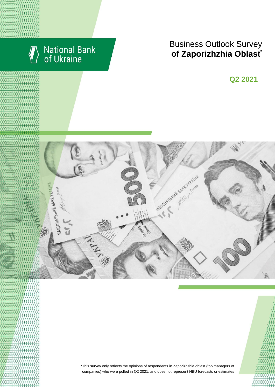

# **Business Outlook Survey**  $\bullet$  **6 Zaporizhzhia Oblast**

**Q2 2018 Q2 2021**



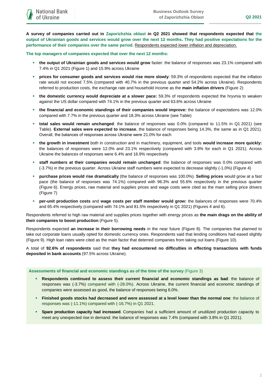**A survey of companies carried out in Zaporizhzhia oblast in Q2 2021 showed that respondents expected that the output of Ukrainian goods and services would grow over the next 12 months. They had positive expectations for the performance of their companies over the same period.** Respondents expected lower inflation and depreciation.

### **The top managers of companies expected that over the next 12 months:**

- **the output of Ukrainian goods and services would grow** faster: the balance of responses was 23.1% compared with 7.4% in Q1 2021 (Figure 1) and 15.9% across Ukraine
- **prices for consumer goods and services would rise more slowly**: 59.3% of respondents expected that the inflation rate would not exceed 7.5% (compared with 40.7% in the previous quarter and 54.2% across Ukraine). Respondents referred to production costs, the exchange rate and household income as the **main inflation drivers** (Figure 2)
- **the domestic currency would depreciate at a slower pace:** 59.3% of respondents expected the hryvnia to weaken against the US dollar compared with 74.1% in the previous quarter and 63.6% across Ukraine
- **the financial and economic standings of their companies would improve:** the balance of expectations was 12.0% compared with 7.7% in the previous quarter and 18.3% across Ukraine (see Table)
- **total sales would remain unchanged**: the balance of responses was 0.0% (compared to 11.5% in Q1 2021) (see Table). **External sales were expected to increase**, the balance of responses being 14.3%, the same as in Q1 2021). Overall, the balances of responses across Ukraine were 21.0% for each
- **the growth in investment** both in construction and in machinery, equipment, and tools **would increase more quickly:**  the balances of responses were 12.0% and 23.1% respectively (compared with 3.8% for each in Q1 2021). Across Ukraine the balances of responses were 6.4% and 16.9% respectively
- **staff numbers at their companies would remain unchanged**: the balance of responses was 0.0% compared with (-3.7%) in the previous quarter. Across Ukraine staff numbers were expected to decrease slightly (-1.0%) (Figure 4)
- **purchase prices would rise dramatically** (the balance of responses was 100.0%). **Selling prices** would grow at a fast pace (the balance of responses was 74.1%) compared with 96.3% and 55.6% respectively in the previous quarter (Figure 6). Energy prices, raw material and supplies prices and wage costs were cited as the main selling price drivers (Figure 7)
- **per-unit production costs** and **wage costs per staff member would grow:** the balances of responses were 70.4% and 65.4% respectively (compared with 74.1% and 81.5% respectively in Q1 2021) (Figures 4 and 6).

Respondents referred to high raw material and supplies prices together with energy prices as **the main drags on the ability of their companies to boost production** (Figure 5).

Respondents expected **an increase in their borrowing needs** in the near future (Figure 8). The companies that planned to take out corporate loans usually opted for domestic currency ones. Respondents said that lending conditions had eased slightly (Figure 9). High loan rates were cited as the main factor that deterred companies from taking out loans (Figure 10).

A total of **92.6% of respondents** said that **they had encountered no difficulties in effecting transactions with funds deposited in bank accounts** (97.5% across Ukraine).

**Assessments of financial and economic standings as of the time of the survey** (Figure 3)

- **Respondents continued to assess their current financial and economic standings as bad**: the balance of responses was (-3.7%) compared with (-28.0%). Across Ukraine, the current financial and economic standings of companies were assessed as good, the balance of responses being 6.0%.
- **Finished goods stocks had decreased and were assessed at a level lower than the normal one**: the balance of responses was (-11.1%) compared with (-16.7%) in Q1 2021.
- **Spare production capacity had increased**. Companies had a sufficient amount of unutilized production capacity to meet any unexpected rise in demand: the balance of responses was 7.4% (compared with 3.8% in Q1 2021).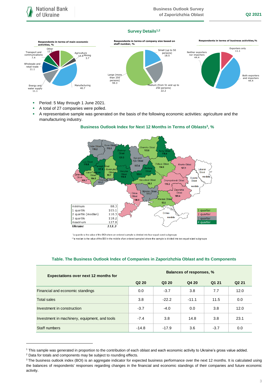# **Survey Details1,2**



- **Period: 5 May through 1 June 2021.**
- A total of 27 companies were polled.
- A representative sample was generated on the basis of the following economic activities: agriculture and the manufacturing industry.

## **Business Outlook Index for Next 12 Months in Terms of Oblasts<sup>3</sup> , %**



\*a quartile is the value of the BOI where an ordered sample is divided into four equal-sized subgroups

\*\*a median is the value of the BOI in the middle of an ordered sampled where the sample is divided into two equal-sized subgroups

| <b>Expectations over next 12 months for</b>   | Balances of responses, %      |         |         |        |                   |
|-----------------------------------------------|-------------------------------|---------|---------|--------|-------------------|
|                                               | Q <sub>2</sub> 2 <sub>0</sub> | Q3 20   | Q4 20   | Q1 21  | Q <sub>2</sub> 21 |
| Financial and economic standings              | 0.0                           | $-3.7$  | 3.8     | 7.7    | 12.0              |
| <b>Total sales</b>                            | 3.8                           | $-22.2$ | $-11.1$ | 11.5   | 0.0               |
| Investment in construction                    | $-3.7$                        | $-4.0$  | 0.0     | 3.8    | 12.0              |
| Investment in machinery, equipment, and tools | $-7.4$                        | 3.8     | 14.8    | 3.8    | 23.1              |
| Staff numbers                                 | $-14.8$                       | $-17.9$ | 3.6     | $-3.7$ | 0.0               |

### **Table. The Business Outlook Index of Companies in Zaporizhzhia Oblast and Its Components**

1

<sup>1</sup> This sample was generated in proportion to the contribution of each oblast and each economic activity to Ukraine's gross value added.

<sup>2</sup> Data for totals and components may be subject to rounding effects.

<sup>&</sup>lt;sup>3</sup> The business outlook index (BOI) is an aggregate indicator for expected business performance over the next 12 months. It is calculated using the balances of respondents' responses regarding changes in the financial and economic standings of their companies and future economic activity.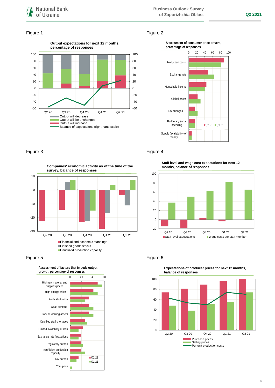# Figure 1 Figure 2





-30 -20 -10  $\overline{0}$ 10 Q2 20 Q3 20 Q4 20 Q1 21 Q2 21 **Companies' economic activity as of the time of the survey, balance of responses Financial and economic standings** ■Finished goods stocks **Unutilized production capacity** 





# Figure 3 **Figure 4**

**Staff level and wage cost expectations for next 12 months, balance of responses**





**Expectations of producer prices for next 12 months,**